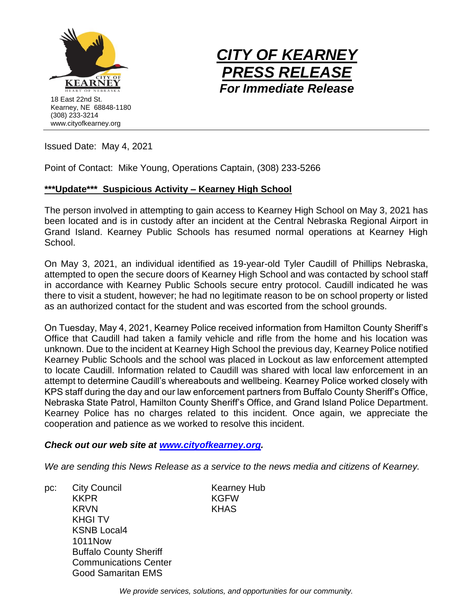



Issued Date: May 4, 2021

Point of Contact: Mike Young, Operations Captain, (308) 233-5266

## **\*\*\*Update\*\*\* Suspicious Activity – Kearney High School**

The person involved in attempting to gain access to Kearney High School on May 3, 2021 has been located and is in custody after an incident at the Central Nebraska Regional Airport in Grand Island. Kearney Public Schools has resumed normal operations at Kearney High School.

On May 3, 2021, an individual identified as 19-year-old Tyler Caudill of Phillips Nebraska, attempted to open the secure doors of Kearney High School and was contacted by school staff in accordance with Kearney Public Schools secure entry protocol. Caudill indicated he was there to visit a student, however; he had no legitimate reason to be on school property or listed as an authorized contact for the student and was escorted from the school grounds.

On Tuesday, May 4, 2021, Kearney Police received information from Hamilton County Sheriff's Office that Caudill had taken a family vehicle and rifle from the home and his location was unknown. Due to the incident at Kearney High School the previous day, Kearney Police notified Kearney Public Schools and the school was placed in Lockout as law enforcement attempted to locate Caudill. Information related to Caudill was shared with local law enforcement in an attempt to determine Caudill's whereabouts and wellbeing. Kearney Police worked closely with KPS staff during the day and our law enforcement partners from Buffalo County Sheriff's Office, Nebraska State Patrol, Hamilton County Sheriff's Office, and Grand Island Police Department. Kearney Police has no charges related to this incident. Once again, we appreciate the cooperation and patience as we worked to resolve this incident.

## *Check out our web site at [www.cityofkearney.org.](http://www.cityofkearney.org/)*

*We are sending this News Release as a service to the news media and citizens of Kearney.*

pc: City Council Council Kearney Hub KKPR KGFW KRVN KHAS KHGI TV KSNB Local4 1011Now Buffalo County Sheriff Communications Center Good Samaritan EMS